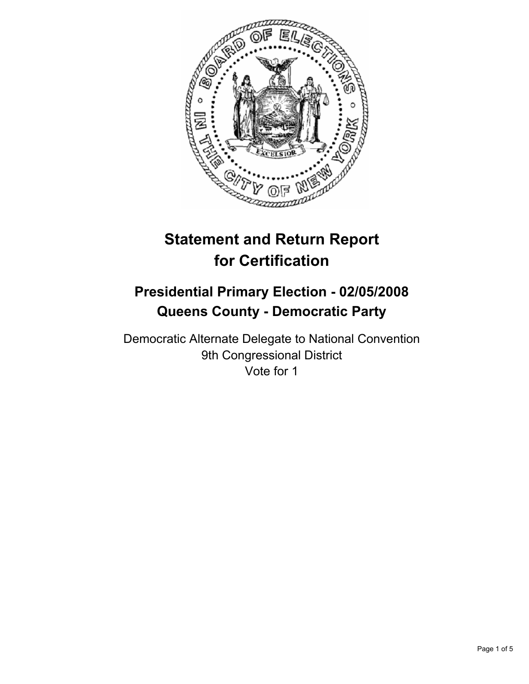

# **Statement and Return Report for Certification**

# **Presidential Primary Election - 02/05/2008 Queens County - Democratic Party**

Democratic Alternate Delegate to National Convention 9th Congressional District Vote for 1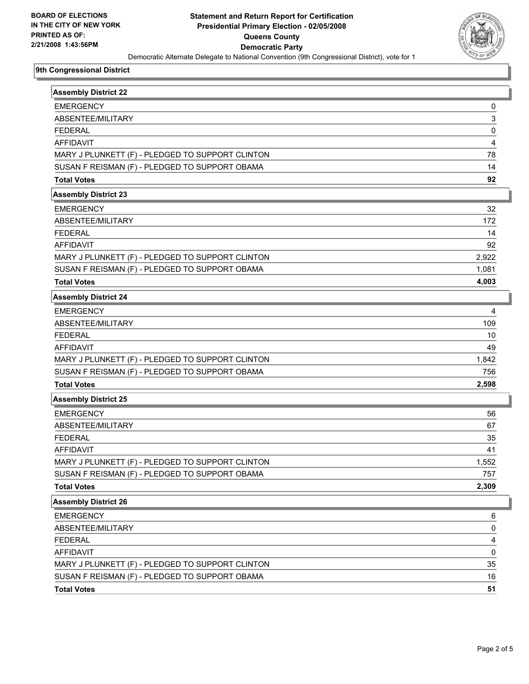

## **9th Congressional District**

| <b>Assembly District 22</b>                      |       |
|--------------------------------------------------|-------|
| <b>EMERGENCY</b>                                 | 0     |
| ABSENTEE/MILITARY                                | 3     |
| <b>FFDFRAL</b>                                   | 0     |
| <b>AFFIDAVIT</b>                                 | 4     |
| MARY J PLUNKETT (F) - PLEDGED TO SUPPORT CLINTON | 78    |
| SUSAN F REISMAN (F) - PLEDGED TO SUPPORT OBAMA   | 14    |
| <b>Total Votes</b>                               | 92    |
| <b>Assembly District 23</b>                      |       |
| <b>EMERGENCY</b>                                 | 32    |
| ABSENTEE/MILITARY                                | 172   |
| <b>FEDERAL</b>                                   | 14    |
| <b>AFFIDAVIT</b>                                 | 92    |
| MARY J PLUNKETT (F) - PLEDGED TO SUPPORT CLINTON | 2,922 |
| SUSAN F REISMAN (F) - PLEDGED TO SUPPORT OBAMA   | 1,081 |
| <b>Total Votes</b>                               | 4,003 |
| <b>Assembly District 24</b>                      |       |
| <b>EMERGENCY</b>                                 | 4     |
| ABSENTEE/MILITARY                                | 109   |
| <b>FEDERAL</b>                                   | 10    |
| <b>AFFIDAVIT</b>                                 | 49    |
| MARY J PLUNKETT (F) - PLEDGED TO SUPPORT CLINTON | 1,842 |
| SUSAN F REISMAN (F) - PLEDGED TO SUPPORT OBAMA   | 756   |
| <b>Total Votes</b>                               | 2,598 |
| <b>Assembly District 25</b>                      |       |
| <b>EMERGENCY</b>                                 | 56    |
| ABSENTEE/MILITARY                                | 67    |
| <b>FEDERAL</b>                                   | 35    |
| <b>AFFIDAVIT</b>                                 | 41    |
| MARY J PLUNKETT (F) - PLEDGED TO SUPPORT CLINTON | 1,552 |
| SUSAN F REISMAN (F) - PLEDGED TO SUPPORT OBAMA   | 757   |
| <b>Total Votes</b>                               | 2,309 |
| <b>Assembly District 26</b>                      |       |
| <b>EMERGENCY</b>                                 | 6     |
| ABSENTEE/MILITARY                                | 0     |
| <b>FEDERAL</b>                                   | 4     |
| <b>AFFIDAVIT</b>                                 | 0     |
| MARY J PLUNKETT (F) - PLEDGED TO SUPPORT CLINTON | 35    |
| SUSAN F REISMAN (F) - PLEDGED TO SUPPORT OBAMA   | 16    |
| <b>Total Votes</b>                               | 51    |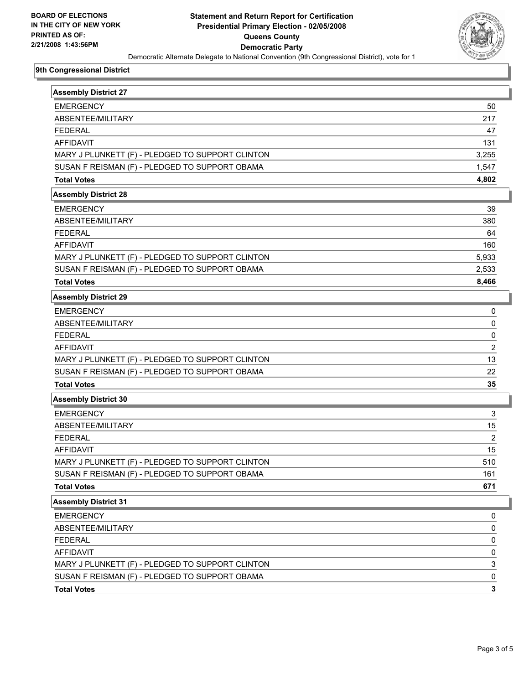

## **9th Congressional District**

| <b>Assembly District 27</b>                      |                |
|--------------------------------------------------|----------------|
| <b>EMERGENCY</b>                                 | 50             |
| ABSENTEE/MILITARY                                | 217            |
| <b>FFDFRAL</b>                                   | 47             |
| <b>AFFIDAVIT</b>                                 | 131            |
| MARY J PLUNKETT (F) - PLEDGED TO SUPPORT CLINTON | 3,255          |
| SUSAN F REISMAN (F) - PLEDGED TO SUPPORT OBAMA   | 1,547          |
| <b>Total Votes</b>                               | 4,802          |
| <b>Assembly District 28</b>                      |                |
| <b>EMERGENCY</b>                                 | 39             |
| ABSENTEE/MILITARY                                | 380            |
| <b>FEDERAL</b>                                   | 64             |
| <b>AFFIDAVIT</b>                                 | 160            |
| MARY J PLUNKETT (F) - PLEDGED TO SUPPORT CLINTON | 5,933          |
| SUSAN F REISMAN (F) - PLEDGED TO SUPPORT OBAMA   | 2,533          |
| <b>Total Votes</b>                               | 8,466          |
| <b>Assembly District 29</b>                      |                |
| <b>EMERGENCY</b>                                 | 0              |
| ABSENTEE/MILITARY                                | 0              |
| <b>FEDERAL</b>                                   | 0              |
| <b>AFFIDAVIT</b>                                 | 2              |
| MARY J PLUNKETT (F) - PLEDGED TO SUPPORT CLINTON | 13             |
| SUSAN F REISMAN (F) - PLEDGED TO SUPPORT OBAMA   | 22             |
| <b>Total Votes</b>                               | 35             |
| <b>Assembly District 30</b>                      |                |
| <b>EMERGENCY</b>                                 | 3              |
| ABSENTEE/MILITARY                                | 15             |
| <b>FEDERAL</b>                                   | $\overline{2}$ |
| <b>AFFIDAVIT</b>                                 | 15             |
| MARY J PLUNKETT (F) - PLEDGED TO SUPPORT CLINTON | 510            |
| SUSAN F REISMAN (F) - PLEDGED TO SUPPORT OBAMA   | 161            |
| <b>Total Votes</b>                               | 671            |
| <b>Assembly District 31</b>                      |                |
| <b>EMERGENCY</b>                                 | 0              |
| ABSENTEE/MILITARY                                | 0              |
| <b>FEDERAL</b>                                   | 0              |
| <b>AFFIDAVIT</b>                                 | 0              |
| MARY J PLUNKETT (F) - PLEDGED TO SUPPORT CLINTON | 3              |
| SUSAN F REISMAN (F) - PLEDGED TO SUPPORT OBAMA   | 0              |
| <b>Total Votes</b>                               | $\mathbf{3}$   |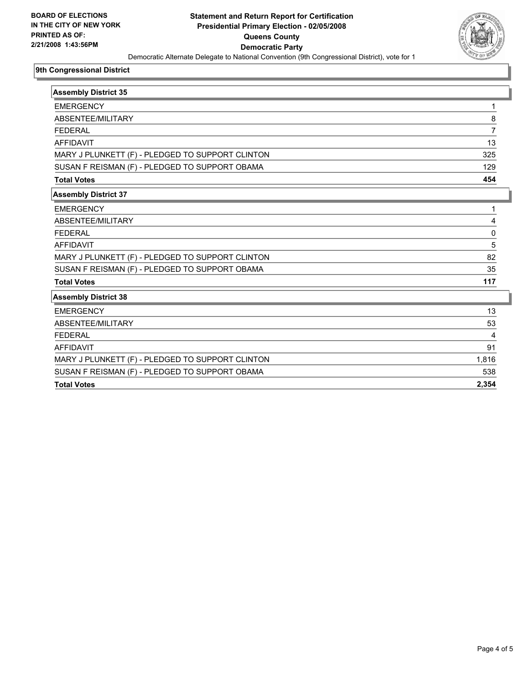

## **9th Congressional District**

| <b>Assembly District 35</b>                      |       |
|--------------------------------------------------|-------|
| <b>EMERGENCY</b>                                 |       |
| ABSENTEE/MILITARY                                | 8     |
| <b>FEDERAL</b>                                   |       |
| <b>AFFIDAVIT</b>                                 | 13    |
| MARY J PLUNKETT (F) - PLEDGED TO SUPPORT CLINTON | 325   |
| SUSAN F REISMAN (F) - PLEDGED TO SUPPORT OBAMA   | 129   |
| <b>Total Votes</b>                               | 454   |
| <b>Assembly District 37</b>                      |       |
| <b>EMERGENCY</b>                                 |       |
| ABSENTEE/MILITARY                                |       |
| <b>FEDERAL</b>                                   | 0     |
| <b>AFFIDAVIT</b>                                 | 5     |
| MARY J PLUNKETT (F) - PLEDGED TO SUPPORT CLINTON | 82    |
| SUSAN F REISMAN (F) - PLEDGED TO SUPPORT OBAMA   | 35    |
| <b>Total Votes</b>                               | 117   |
| <b>Assembly District 38</b>                      |       |
| <b>EMERGENCY</b>                                 | 13    |
| ABSENTEE/MILITARY                                | 53    |
| <b>FEDERAL</b>                                   |       |
| <b>AFFIDAVIT</b>                                 | 91    |
| MARY J PLUNKETT (F) - PLEDGED TO SUPPORT CLINTON | 1,816 |
| SUSAN F REISMAN (F) - PLEDGED TO SUPPORT OBAMA   | 538   |
| <b>Total Votes</b>                               | 2,354 |